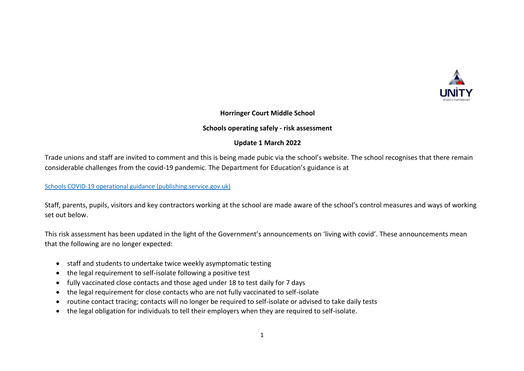

# **Horringer Court Middle School**

## **Schools operating safely - risk assessment**

#### **Update 1 March 2022**

Trade unions and staff are invited to comment and this is being made pubic via the school's website. The school recognises that there remain considerable challenges from the covid-19 pandemic. The Department for Education's guidance is at

[Schools COVID-19 operational guidance \(publishing.service.gov.uk\)](https://assets.publishing.service.gov.uk/government/uploads/system/uploads/attachment_data/file/1057106/220224_Schools_guidance.pdf)

Staff, parents, pupils, visitors and key contractors working at the school are made aware of the school's control measures and ways of working set out below.

This risk assessment has been updated in the light of the Government's announcements on 'living with covid'. These announcements mean that the following are no longer expected:

- staff and students to undertake twice weekly asymptomatic testing
- the legal requirement to self-isolate following a positive test
- fully vaccinated close contacts and those aged under 18 to test daily for 7 days
- the legal requirement for close contacts who are not fully vaccinated to self-isolate
- routine contact tracing; contacts will no longer be required to self-isolate or advised to take daily tests
- the legal obligation for individuals to tell their employers when they are required to self-isolate.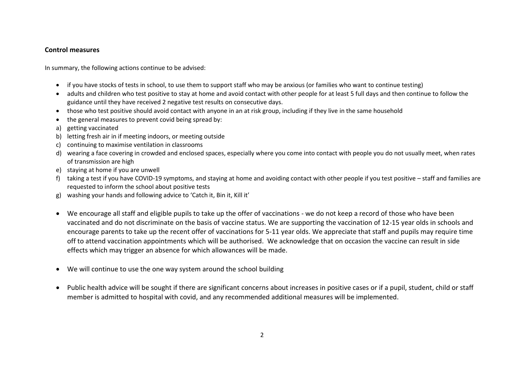## **Control measures**

In summary, the following actions continue to be advised:

- if you have stocks of tests in school, to use them to support staff who may be anxious (or families who want to continue testing)
- adults and children who test positive to stay at home and avoid contact with other people for at least 5 full days and then continue to follow the guidance until they have received 2 negative test results on consecutive days.
- those who test positive should avoid contact with anyone in an at risk group, including if they live in the same household
- the general measures to prevent covid being spread by:
- a) getting vaccinated
- b) letting fresh air in if meeting indoors, or meeting outside
- c) continuing to maximise ventilation in classrooms
- d) wearing a face covering in crowded and enclosed spaces, especially where you come into contact with people you do not usually meet, when rates of transmission are high
- e) staying at home if you are unwell
- f) taking a test if you have COVID-19 symptoms, and staying at home and avoiding contact with other people if you test positive staff and families are requested to inform the school about positive tests
- g) washing your hands and following advice to 'Catch it, Bin it, Kill it'
- We encourage all staff and eligible pupils to take up the offer of vaccinations we do not keep a record of those who have been vaccinated and do not discriminate on the basis of vaccine status. We are supporting the vaccination of 12-15 year olds in schools and encourage parents to take up the recent offer of vaccinations for 5-11 year olds. We appreciate that staff and pupils may require time off to attend vaccination appointments which will be authorised. We acknowledge that on occasion the vaccine can result in side effects which may trigger an absence for which allowances will be made.
- We will continue to use the one way system around the school building
- Public health advice will be sought if there are significant concerns about increases in positive cases or if a pupil, student, child or staff member is admitted to hospital with covid, and any recommended additional measures will be implemented.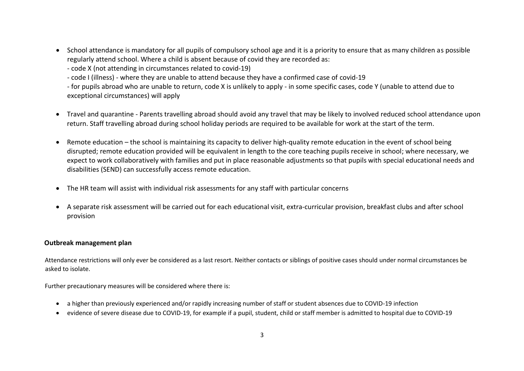• School attendance is mandatory for all pupils of compulsory school age and it is a priority to ensure that as many children as possible regularly attend school. Where a child is absent because of covid they are recorded as:

- code X (not attending in circumstances related to covid-19)

- code I (illness) - where they are unable to attend because they have a confirmed case of covid-19

- for pupils abroad who are unable to return, code X is unlikely to apply - in some specific cases, code Y (unable to attend due to exceptional circumstances) will apply

- Travel and quarantine Parents travelling abroad should avoid any travel that may be likely to involved reduced school attendance upon return. Staff travelling abroad during school holiday periods are required to be available for work at the start of the term.
- Remote education the school is maintaining its capacity to deliver high-quality remote education in the event of school being disrupted; remote education provided will be equivalent in length to the core teaching pupils receive in school; where necessary, we expect to work collaboratively with families and put in place reasonable adjustments so that pupils with special educational needs and disabilities (SEND) can successfully access remote education.
- The HR team will assist with individual risk assessments for any staff with particular concerns
- A separate risk assessment will be carried out for each educational visit, extra-curricular provision, breakfast clubs and after school provision

## **Outbreak management plan**

Attendance restrictions will only ever be considered as a last resort. Neither contacts or siblings of positive cases should under normal circumstances be asked to isolate.

Further precautionary measures will be considered where there is:

- a higher than previously experienced and/or rapidly increasing number of staff or student absences due to COVID-19 infection
- evidence of severe disease due to COVID-19, for example if a pupil, student, child or staff member is admitted to hospital due to COVID-19